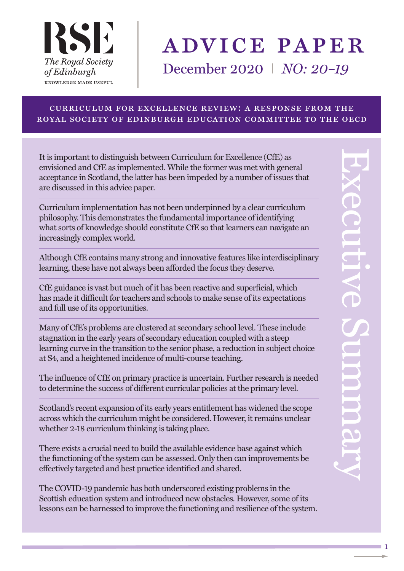

# advice paper

December 2020 I *NO: 20–19*

#### curriculum for excellence review: a response from the royal society of edinburgh education committee to the oecd

It is important to distinguish between Curriculum for Excellence (CfE) as envisioned and CfE as implemented. While the former was met with general acceptance in Scotland, the latter has been impeded by a number of issues that are discussed in this advice paper.

Curriculum implementation has not been underpinned by a clear curriculum philosophy. This demonstrates the fundamental importance of identifying what sorts of knowledge should constitute CfE so that learners can navigate an increasingly complex world.

Although CfE contains many strong and innovative features like interdisciplinary learning, these have not always been afforded the focus they deserve.

CfE guidance is vast but much of it has been reactive and superficial, which has made it difficult for teachers and schools to make sense of its expectations and full use of its opportunities.

Many of CfE's problems are clustered at secondary school level. These include stagnation in the early years of secondary education coupled with a steep learning curve in the transition to the senior phase, a reduction in subject choice at S4, and a heightened incidence of multi-course teaching.

The influence of CfE on primary practice is uncertain. Further research is needed to determine the success of different curricular policies at the primary level.

Scotland's recent expansion of its early years entitlement has widened the scope across which the curriculum might be considered. However, it remains unclear whether 2-18 curriculum thinking is taking place.

There exists a crucial need to build the available evidence base against which the functioning of the system can be assessed. Only then can improvements be effectively targeted and best practice identified and shared.

The COVID-19 pandemic has both underscored existing problems in the Scottish education system and introduced new obstacles. However, some of its lessons can be harnessed to improve the functioning and resilience of the system.

1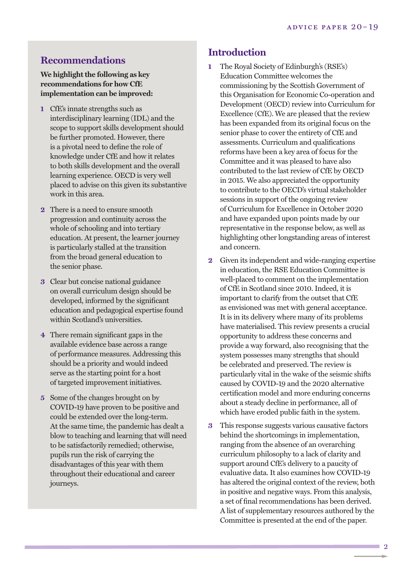#### **Recommendations**

**We highlightthe following as key recommendations for how CfE implementation can be improved:**

- **1** CfE's innate strengths such as interdisciplinary learning (IDL) and the scope to support skills development should be further promoted. However, there is a pivotal need to define the role of knowledge under CfE and how it relates to both skills development and the overall learning experience. OECD is very well placed to advise on this given its substantive work in this area.
- **2** There is a need to ensure smooth progression and continuity across the whole of schooling and into tertiary education. At present, the learner journey is particularly stalled at the transition from the broad general education to the senior phase.
- **3** Clear but concise national guidance on overall curriculum design should be developed, informed by the significant education and pedagogical expertise found within Scotland's universities.
- **4** There remain significant gaps in the available evidence base across a range of performance measures. Addressing this should be a priority and would indeed serve as the starting point for a host of targeted improvement initiatives.
- **5** Some of the changes brought on by COVID-19 have proven to be positive and could be extended over the long-term. At the same time, the pandemic has dealt a blow to teaching and learning that will need to be satisfactorily remedied; otherwise, pupils run the risk of carrying the disadvantages of this year with them throughout their educational and career journeys.

#### **Introduction**

- **1** The Royal Society of Edinburgh's (RSE's) Education Committee welcomes the commissioning by the Scottish Government of this Organisation for Economic Co-operation and Development (OECD) review into Curriculum for Excellence (CfE). We are pleased that the review has been expanded from its original focus on the senior phase to cover the entirety of CfE and assessments. Curriculum and qualifications reforms have been a key area of focus for the Committee and it was pleased to have also contributed to the last review of CfE by OECD in 2015. We also appreciated the opportunity to contribute to the OECD's virtual stakeholder sessions in support of the ongoing review of Curriculum for Excellence in October 2020 and have expanded upon points made by our representative in the response below, as well as highlighting other longstanding areas of interest and concern.
- **2** Given its independent and wide-ranging expertise in education, the RSE Education Committee is well-placed to comment on the implementation of CfE in Scotland since 2010. Indeed, it is important to clarify from the outset that CfE as envisioned was met with general acceptance. It is in its delivery where many of its problems have materialised. This review presents a crucial opportunity to address these concerns and provide a way forward, also recognising that the system possesses many strengths that should be celebrated and preserved. The review is particularly vital in the wake of the seismic shifts caused by COVID-19 and the 2020 alternative certification model and more enduring concerns about a steady decline in performance, all of which have eroded public faith in the system.
- **3** This response suggests various causative factors behind the shortcomings in implementation, ranging from the absence of an overarching curriculum philosophy to a lack of clarity and support around CfE's delivery to a paucity of evaluative data. It also examines how COVID-19 has altered the original context of the review, both in positive and negative ways. From this analysis, a set of final recommendations has been derived. A list of supplementary resources authored by the Committee is presented at the end of the paper.

 $\overline{2}$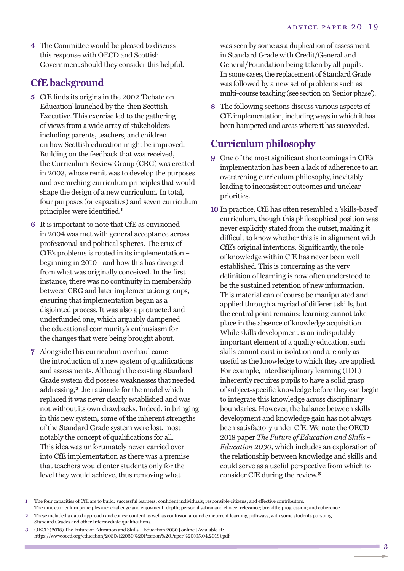**4** The Committee would be pleased to discuss this response with OECD and Scottish Government should they consider this helpful.

# **CfE background**

- **5** CfE finds its origins in the 2002 'Debate on Education' launched by the-then Scottish Executive. This exercise led to the gathering of views from a wide array of stakeholders including parents, teachers, and children on how Scottish education might be improved. Building on the feedback that was received, the Curriculum Review Group (CRG) was created in 2003, whose remit was to develop the purposes and overarching curriculum principles that would shape the design of a new curriculum. In total, four purposes (or capacities) and seven curriculum principles were identified. **1**
- **6** It is important to note that CfE as envisioned in 2004 was met with general acceptance across professional and political spheres. The crux of CfE's problems is rooted in its implementation – beginning in 2010 - and how this has diverged from what was originally conceived. In the first instance, there was no continuity in membership between CRG and later implementation groups, ensuring that implementation began as a disjointed process. It was also a protracted and underfunded one, which arguably dampened the educational community's enthusiasm for the changes that were being brought about.
- **7** Alongside this curriculum overhaul came the introduction of a new system of qualifications and assessments. Although the existing Standard Grade system did possess weaknesses that needed addressing, **2** the rationale for the model which replaced it was never clearly established and was not without its own drawbacks. Indeed, in bringing in this new system, some of the inherent strengths of the Standard Grade system were lost, most notably the concept of qualifications for all. This idea was unfortunately never carried over into CfE implementation as there was a premise that teachers would enter students only for the level they would achieve, thus removing what

was seen by some as a duplication of assessment in Standard Grade with Credit/General and General/Foundation being taken by all pupils. In some cases, the replacement of Standard Grade was followed by a new set of problems such as multi-course teaching (see section on 'Senior phase').

**8** The following sections discuss various aspects of CfE implementation, including ways in which it has been hampered and areas where it has succeeded.

# **Curriculum philosophy**

- **9** One of the most significant shortcomings in CfE's implementation has been a lack of adherence to an overarching curriculum philosophy, inevitably leading to inconsistent outcomes and unclear priorities.
- **10** In practice, CfE has often resembled a 'skills-based' curriculum, though this philosophical position was never explicitly stated from the outset, making it difficult to know whether this is in alignment with CfE's original intentions. Significantly, the role of knowledge within CfE has never been well established. This is concerning as the very definition of learning is now often understood to be the sustained retention of new information. This material can of course be manipulated and applied through a myriad of different skills, but the central point remains: learning cannot take place in the absence of knowledge acquisition. While skills development is an indisputably important element of a quality education, such skills cannot exist in isolation and are only as useful as the knowledge to which they are applied. For example, interdisciplinary learning (IDL) inherently requires pupils to have a solid grasp of subject-specific knowledge before they can begin to integrate this knowledge across disciplinary boundaries. However, the balance between skills development and knowledge gain has not always been satisfactory under CfE. We note the OECD 2018 paper *The Future of Education and Skills – Education 2030*, which includes an exploration of the relationship between knowledge and skills and could serve as a useful perspective from which to consider CfE during the review. **3**

- **2** These included a dated approach and course content as well as confusion around concurrent learning pathways, with some students pursuing Standard Grades and other Intermediate qualifications.
- **3** OECD (2018) The Future of Education and Skills Education 2030 [online] Available at: https://www.oecd.org/education/2030/E2030%20Position%20Paper%20(05.04.2018).pdf

**<sup>1</sup>** The four capacities of CfE are to build: successful learners; confident individuals; responsible citizens; and effective contributors. The nine curriculum principles are: challenge and enjoyment; depth; personalisation and choice; relevance; breadth; progression; and coherence.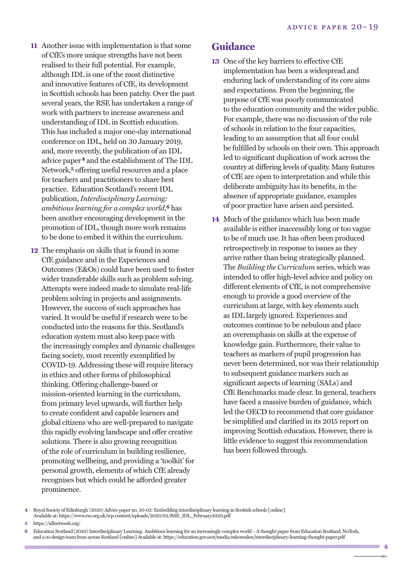- **11** Another issue with implementation is that some of CfE's more unique strengths have not been realised to their full potential. For example, although IDL is one of the most distinctive and innovative features of CfE, its development in Scottish schools has been patchy. Over the past several years, the RSE has undertaken a range of work with partners to increase awareness and understanding of IDL in Scottish education. This has included a major one-day international conference on IDL, held on 30 January 2019, and, more recently, the publication of an IDL advice paper**4** and the establishment of The IDL Network, **5** offering useful resources and a place for teachers and practitioners to share best practice. Education Scotland's recent IDL publication, *Interdisciplinary Learning: ambitious learning for a complex world*, **6** has been another encouraging development in the promotion of IDL, though more work remains to be done to embed it within the curriculum.
- **12** The emphasis on skills that is found in some CfE guidance and in the Experiences and Outcomes (E&Os) could have been used to foster wider transferable skills such as problem solving. Attempts were indeed made to simulate real-life problem solving in projects and assignments. However, the success of such approaches has varied. It would be useful if research were to be conducted into the reasons for this. Scotland's education system must also keep pace with the increasingly complex and dynamic challenges facing society, most recently exemplified by COVID-19. Addressing these will require literacy in ethics and other forms of philosophical thinking. Offering challenge-based or mission-oriented learning in the curriculum, from primary level upwards, will further help to create confident and capable learners and global citizens who are well-prepared to navigate this rapidly evolving landscape and offer creative solutions. There is also growing recognition of the role of curriculum in building resilience, promoting wellbeing, and providing a 'toolkit' for personal growth, elements of which CfE already recognises but which could be afforded greater prominence.

#### **Guidance**

- **13** One of the key barriers to effective CfE implementation has been a widespread and enduring lack of understanding of its core aims and expectations. From the beginning, the purpose of CfE was poorly communicated to the education community and the wider public. For example, there was no discussion of the role of schools in relation to the four capacities, leading to an assumption that all four could be fulfilled by schools on their own. This approach led to significant duplication of work across the country at differing levels of quality. Many features of CfE are open to interpretation and while this deliberate ambiguity has its benefits, in the absence of appropriate guidance, examples of poor practice have arisen and persisted.
- **14** Much of the guidance which has been made available is either inaccessibly long or too vague to be of much use. It has often been produced retrospectively in response to issues as they arrive rather than being strategically planned. The *Building the Curriculum* series, which was intended to offer high-level advice and policy on different elements of CfE, is not comprehensive enough to provide a good overview of the curriculum at large, with key elements such as IDL largely ignored. Experiences and outcomes continue to be nebulous and place an overemphasis on skills at the expense of knowledge gain. Furthermore, their value to teachers as markers of pupil progression has never been determined, nor was their relationship to subsequent guidance markers such as significant aspects of learning (SALs) and CfE Benchmarks made clear. In general, teachers have faced a massive burden of guidance, which led the OECD to recommend that core guidance be simplified and clarified in its 2015 report on improving Scottish education. However, there is little evidence to suggest this recommendation has been followed through.

Royal Society of Edinburgh (2020) Advice paper no. 20-02: Embedding interdisciplinary learning in Scottish schools [online] Available at: https://www.rse.org.uk/wp-content/uploads/2020/02/RSE\_IDL\_February2020.pdf

**<sup>5</sup>** https://idlnetwork.org/

**<sup>6</sup>** Education Scotland (2020) Interdisciplinary Learning:Ambitious learning for an increasingly complex world –Athought paper from Education Scotland, NoTosh, and a co-design team from across Scotland [online]Available at: https://education.gov.scot/media/mkomulen/interdisciplinary-learning-thought-paper.pdf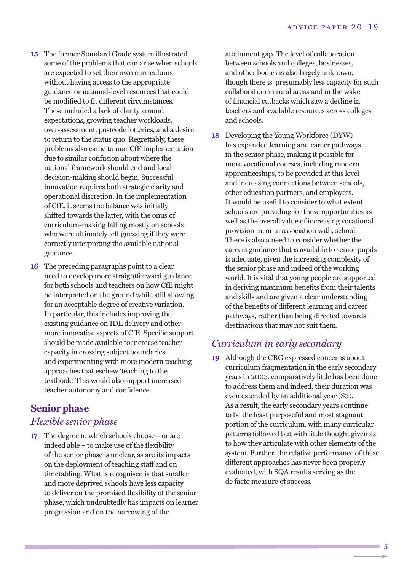- **15** The former Standard Grade system illustrated some of the problems that can arise when schools are expected to set their own curriculums without having access to the appropriate guidance or national-level resources that could be modified to fit different circumstances. These included a lack of clarity around expectations, growing teacher workloads, over-assessment, postcode lotteries, and a desire to return to the status quo. Regrettably, these problems also came to mar CfE implementation due to similar confusion about where the national framework should end and local decision-making should begin. Successful innovation requires both strategic clarity and operational discretion. In the implementation of CfE, it seems the balance was initially shifted towards the latter, with the onus of curriculum-making falling mostly on schools who were ultimately left guessing if they were correctly interpreting the available national guidance.
- **16** The preceding paragraphs point to a clear need to develop more straightforward guidance for both schools and teachers on how CfE might be interpreted on the ground while still allowing for an acceptable degree of creative variation. In particular, this includes improving the existing guidance on IDL delivery and other more innovative aspects of CfE. Specific support should be made available to increase teacher capacity in crossing subject boundaries and experimenting with more modern teaching approaches that eschew 'teaching to the textbook.' This would also support increased teacher autonomy and confidence.

# **Senior phase**

### *Flexible senior phase*

**17** The degree to which schools choose – or are indeed able – to make use of the flexibility of the senior phase is unclear, as are its impacts on the deployment of teaching staff and on timetabling. What is recognised is that smaller and more deprived schools have less capacity to deliver on the promised flexibility of the senior phase, which undoubtedly has impacts on learner progression and on the narrowing of the

attainment gap. The level of collaboration between schools and colleges, businesses, and other bodies is also largely unknown, though there is presumably less capacity for such collaboration in rural areas and in the wake of financial cutbacks which saw a decline in teachers and available resources across colleges and schools.

**18** Developing the Young Workforce (DYW) has expanded learning and career pathways in the senior phase, making it possible for more vocational courses, including modern apprenticeships, to be provided at this level and increasing connections between schools, other education partners, and employers. It would be useful to consider to what extent schools are providing for these opportunities as well as the overall value of increasing vocational provision in, or in association with, school. There is also a need to consider whether the careers guidance that is available to senior pupils is adequate, given the increasing complexity of the senior phase and indeed of the working world. It is vital that young people are supported in deriving maximum benefits from their talents and skills and are given a clear understanding of the benefits of different learning and career pathways, rather than being directed towards destinations that may not suit them.

#### *Curriculum in early secondary*

**19** Although the CRG expressed concerns about curriculum fragmentation in the early secondary years in 2003, comparatively little has been done to address them and indeed, their duration was even extended by an additional year (S3). As a result, the early secondary years continue to be the least purposeful and most stagnant portion of the curriculum, with many curricular patterns followed but with little thought given as to how they articulate with other elements of the system. Further, the relative performance of these different approaches has never been properly evaluated, with SQA results serving as the de facto measure of success.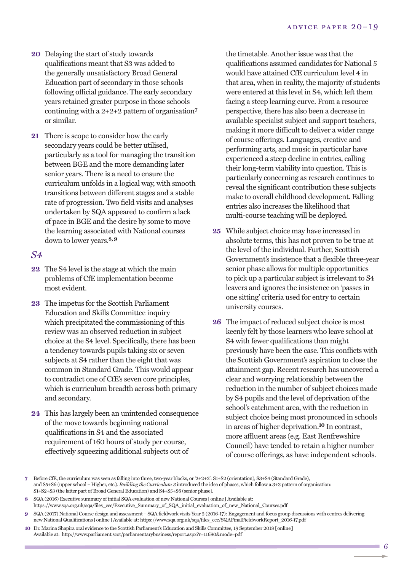- **20** Delaying the start of study towards qualifications meant that S3 was added to the generally unsatisfactory Broad General Education part of secondary in those schools following official guidance. The early secondary years retained greater purpose in those schools continuing with a 2+2+2 pattern of organisation**7** or similar.
- **21** There is scope to consider how the early secondary years could be better utilised, particularly as a tool for managing the transition between BGE and the more demanding later senior years. There is a need to ensure the curriculum unfolds in a logical way, with smooth transitions between different stages and a stable rate of progression. Two field visits and analyses undertaken by SQA appeared to confirm a lack of pace in BGE and the desire by some to move the learning associated with National courses down to lower years. **8,9**

#### *S4*

- **22** The S4 level is the stage at which the main problems of CfE implementation become most evident.
- **23** The impetus for the Scottish Parliament Education and Skills Committee inquiry which precipitated the commissioning of this review was an observed reduction in subject choice at the S4 level. Specifically, there has been a tendency towards pupils taking six or seven subjects at S4 rather than the eight that was common in Standard Grade. This would appear to contradict one of CfE's seven core principles, which is curriculum breadth across both primary and secondary.
- **24** This has largely been an unintended consequence of the move towards beginning national qualifications in S4 and the associated requirement of 160 hours of study per course, effectively squeezing additional subjects out of

the timetable. Another issue was that the qualifications assumed candidates for National 5 would have attained CfE curriculum level 4 in that area, when in reality, the majority of students were entered at this level in S4, which left them facing a steep learning curve. From a resource perspective, there has also been a decrease in available specialist subject and support teachers, making it more difficult to deliver a wider range of course offerings. Languages, creative and performing arts, and music in particular have experienced a steep decline in entries, calling their long-term viability into question. This is particularly concerning as research continues to reveal the significant contribution these subjects make to overall childhood development. Falling entries also increases the likelihood that multi-course teaching will be deployed.

- **25** While subject choice may have increased in absolute terms, this has not proven to be true at the level of the individual. Further, Scottish Government's insistence that a flexible three-year senior phase allows for multiple opportunities to pick up a particular subject is irrelevant to S4 leavers and ignores the insistence on 'passes in one sitting' criteria used for entry to certain university courses.
- **26** The impact of reduced subject choice is most keenly felt by those learners who leave school at S4 with fewer qualifications than might previously have been the case. This conflicts with the Scottish Government's aspiration to close the attainment gap. Recent research has uncovered a clear and worrying relationship between the reduction in the number of subject choices made by S4 pupils and the level of deprivation of the school's catchment area, with the reduction in subject choice being most pronounced in schools in areas of higher deprivation. **10** In contrast, more affluent areas (e.g. East Renfrewshire Council) have tended to retain a higher number of course offerings, as have independent schools.

**<sup>7</sup>** Before CfE, the curriculum was seen as falling into three, two-year blocks, or '2+2+2': S1+S2 (orientation), S3+S4 (Standard Grade), and S5+S6 (upper school – Higher, etc.). *Building the Curriculum 3* introduced the idea of phases, which follow a 3+3 pattern of organisation: S1+S2+S3 (the latter part of Broad General Education) and S4+S5+S6 (senior phase).

**<sup>8</sup>** SQA (2016) Executive summary of initial SQA evaluation of new National Courses [online] Available at: https://www.sqa.org.uk/sqa/files\_ccc/Executive\_Summary\_of\_SQA\_initial\_evaluation\_of\_new\_National\_Courses.pdf

**<sup>9</sup>** SQA (2017) National Course design and assessment – SQA fieldwork visits Year 2 (2016-17): Engagement and focus group discussions with centres delivering new National Qualifications [online] Available at: https://www.sqa.org.uk/sqa/files\_ccc/SQAFinalFieldworkReport\_2016-17.pdf

**<sup>10</sup>** Dr. Marina Shapira oral evidence to the Scottish Parliament's Education and Skills Committee, 19 September 2018 [online] Available at: http://www.parliament.scot/parliamentarybusiness/report.aspx?r=11680&mode=pdf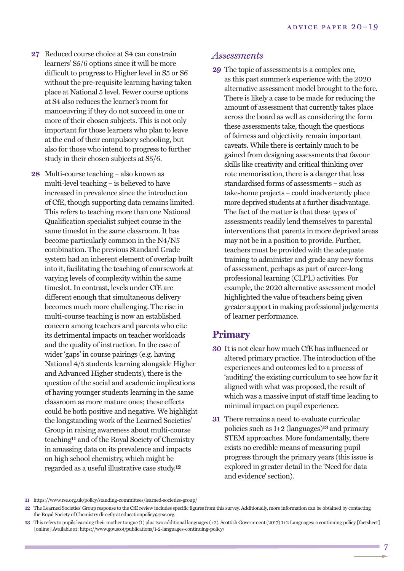- **27** Reduced course choice at S4 can constrain learners' S5/6 options since it will be more difficult to progress to Higher level in S5 or S6 without the pre-requisite learning having taken place at National 5 level. Fewer course options at S4 also reduces the learner's room for manoeuvring if they do not succeed in one or more of their chosen subjects. This is not only important for those learners who plan to leave at the end of their compulsory schooling, but also for those who intend to progress to further study in their chosen subjects at S5/6.
- **28** Multi-course teaching also known as multi-level teaching – is believed to have increased in prevalence since the introduction of CfE, though supporting data remains limited. This refers to teaching more than one National Qualification specialist subject course in the same timeslot in the same classroom. It has become particularly common in the N4/N5 combination. The previous Standard Grade system had an inherent element of overlap built into it, facilitating the teaching of coursework at varying levels of complexity within the same timeslot. In contrast, levels under CfE are different enough that simultaneous delivery becomes much more challenging. The rise in multi-course teaching is now an established concern among teachers and parents who cite its detrimental impacts on teacher workloads and the quality of instruction. In the case of wider 'gaps' in course pairings (e.g. having National 4/5 students learning alongside Higher and Advanced Higher students), there is the question of the social and academic implications of having younger students learning in the same classroom as more mature ones; these effects could be both positive and negative. We highlight the longstanding work of the Learned Societies' Group in raising awareness about multi-course teaching**11** and of the Royal Society of Chemistry in amassing data on its prevalence and impacts on high school chemistry, which might be regarded as a useful illustrative case study. **12**

#### *Assessments*

**29** The topic of assessments is a complex one, as this past summer's experience with the 2020 alternative assessment model brought to the fore. There is likely a case to be made for reducing the amount of assessment that currently takes place across the board as well as considering the form these assessments take, though the questions of fairness and objectivity remain important caveats. While there is certainly much to be gained from designing assessments that favour skills like creativity and critical thinking over rote memorisation, there is a danger that less standardised forms of assessments – such as take-home projects – could inadvertently place more deprived students at a further disadvantage. The fact of the matter is that these types of assessments readily lend themselves to parental interventions that parents in more deprived areas may not be in a position to provide. Further, teachers must be provided with the adequate training to administer and grade any new forms of assessment, perhaps as part of career-long professional learning (CLPL) activities. For example, the 2020 alternative assessment model highlighted the value of teachers being given greater supportin making professional judgements of learner performance.

#### **Primary**

- **30** It is not clear how much CfE has influenced or altered primary practice. The introduction of the experiences and outcomes led to a process of 'auditing' the existing curriculum to see how far it aligned with what was proposed, the result of which was a massive input of staff time leading to minimal impact on pupil experience.
- **31** There remains a need to evaluate curricular policies such as 1+2 (languages)**13** and primary STEM approaches. More fundamentally, there exists no credible means of measuring pupil progress through the primary years (this issue is explored in greater detail in the 'Need for data and evidence' section).

**<sup>11</sup>** https://www.rse.org.uk/policy/standing-committees/learned-societies-group/

**<sup>12</sup>** The Learned Societies' Group response to the CfE review includes specific figures from this survey. Additionally, more information can be obtained by contacting the Royal Society of Chemistry directly at educationpolicy@rsc.org.

**<sup>13</sup>** This refers to pupils learning their mother tongue (1) plus two additional languages (+2). Scottish Government(2017) 1+2 Languages: a continuing policy [factsheet] [online] Available at: https://www.gov.scot/publications/1-2-languages-continuing-policy/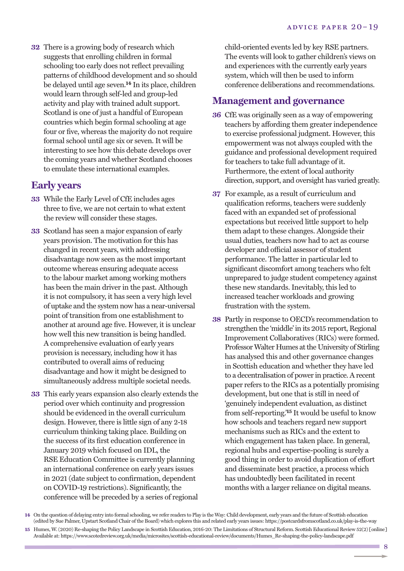**32** There is a growing body of research which suggests that enrolling children in formal schooling too early does not reflect prevailing patterns of childhood development and so should be delayed until age seven. **14** In its place, children would learn through self-led and group-led activity and play with trained adult support. Scotland is one of just a handful of European countries which begin formal schooling at age four or five, whereas the majority do not require formal school until age six or seven. It will be interesting to see how this debate develops over the coming years and whether Scotland chooses to emulate these international examples.

#### **Early years**

- **33** While the Early Level of CfE includes ages three to five, we are not certain to what extent the review will consider these stages.
- **33** Scotland has seen a major expansion of early years provision. The motivation for this has changed in recent years, with addressing disadvantage now seen as the most important outcome whereas ensuring adequate access to the labour market among working mothers has been the main driver in the past. Although it is not compulsory, it has seen a very high level of uptake and the system now has a near-universal point of transition from one establishment to another at around age five. However, it is unclear how well this new transition is being handled. A comprehensive evaluation of early years provision is necessary, including how it has contributed to overall aims of reducing disadvantage and how it might be designed to simultaneously address multiple societal needs.
- **33** This early years expansion also clearly extends the period over which continuity and progression should be evidenced in the overall curriculum design. However, there is little sign of any 2-18 curriculum thinking taking place. Building on the success of its first education conference in January 2019 which focused on IDL, the RSE Education Committee is currently planning an international conference on early years issues in 2021 (date subject to confirmation, dependent on COVID-19 restrictions). Significantly, the conference will be preceded by a series of regional

child-oriented events led by key RSE partners. The events will look to gather children's views on and experiences with the currently early years system, which will then be used to inform conference deliberations and recommendations.

#### **Management and governance**

- **36** CfE was originally seen as a way of empowering teachers by affording them greater independence to exercise professional judgment. However, this empowerment was not always coupled with the guidance and professional development required for teachers to take full advantage of it. Furthermore, the extent of local authority direction, support, and oversight has varied greatly.
- **37** For example, as a result of curriculum and qualification reforms, teachers were suddenly faced with an expanded set of professional expectations but received little support to help them adapt to these changes. Alongside their usual duties, teachers now had to act as course developer and official assessor of student performance. The latter in particular led to significant discomfort among teachers who felt unprepared to judge student competency against these new standards. Inevitably, this led to increased teacher workloads and growing frustration with the system.
- **38** Partly in response to OECD's recommendation to strengthen the 'middle' in its 2015 report, Regional Improvement Collaboratives (RICs) were formed. Professor Walter Humes at the University of Stirling has analysed this and other governance changes in Scottish education and whether they have led to a decentralisation of power in practice.Arecent paper refers to the RICs as a potentially promising development, but one that is still in need of 'genuinely independent evaluation, as distinct from self-reporting.<sup>15</sup> It would be useful to know how schools and teachers regard new support mechanisms such as RICs and the extent to which engagement has taken place. In general, regional hubs and expertise-pooling is surely a good thing in order to avoid duplication of effort and disseminate best practice, a process which has undoubtedly been facilitated in recent months with a larger reliance on digital means.

**<sup>14</sup>** On the question of delaying entry into formal schooling, we refer readers to Play is the Way: Child development, early years and the future of Scottish education (edited by Sue Palmer, Upstart Scotland Chair of the Board) which explores this and related early years issues: https://postcardsfromscotland.co.uk/play-is-the-way **15** Humes, W.(2020) Re-shaping the Policy Landscape in Scottish Education, 2016-20: The Limitations of Structural Reform. Scottish Educational Review 52(2) [online] Available at: https://www.scotedreview.org.uk/media/microsites/scottish-educational-review/documents/Humes\_Re-shaping-the-policy-landscape.pdf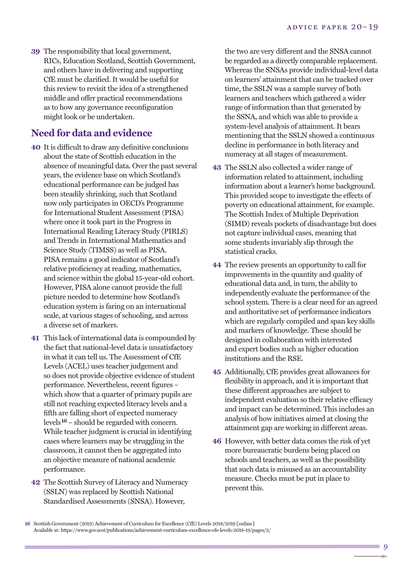**39** The responsibility that local government, RICs, Education Scotland, Scottish Government, and others have in delivering and supporting CfE must be clarified. It would be useful for this review to revisit the idea of a strengthened middle and offer practical recommendations as to how any governance reconfiguration might look or be undertaken.

## **Need for data and evidence**

- **40** It is difficult to draw any definitive conclusions about the state of Scottish education in the absence of meaningful data. Over the past several years, the evidence base on which Scotland's educational performance can be judged has been steadily shrinking, such that Scotland now only participates in OECD's Programme for International Student Assessment (PISA) where once it took part in the Progress in International Reading Literacy Study (PIRLS) and Trends in International Mathematics and Science Study (TIMSS) as well as PISA. PISA remains a good indicator of Scotland's relative proficiency at reading, mathematics, and science within the global 15-year-old cohort. However, PISA alone cannot provide the full picture needed to determine how Scotland's education system is faring on an international scale, at various stages of schooling, and across a diverse set of markers.
- **41** This lack of international data is compounded by the fact that national-level data is unsatisfactory in what it can tell us. The Assessment of CfE Levels (ACEL) uses teacher judgement and so does not provide objective evidence of student performance. Nevertheless, recent figures – which show that a quarter of primary pupils are still not reaching expected literacy levels and a fifth are falling short of expected numeracy levels**16** – should be regarded with concern. While teacher judgment is crucial in identifying cases where learners may be struggling in the classroom, it cannot then be aggregated into an objective measure of national academic performance.
- **42** The Scottish Survey of Literacy and Numeracy (SSLN) was replaced by Scottish National Standardised Assessments (SNSA). However,

the two are very different and the SNSA cannot be regarded as a directly comparable replacement. Whereas the SNSAs provide individual-level data on learners' attainment that can be tracked over time, the SSLN was a sample survey of both learners and teachers which gathered a wider range of information than that generated by the SSNA, and which was able to provide a system-level analysis of attainment. It bears mentioning that the SSLN showed a continuous decline in performance in both literacy and numeracy at all stages of measurement.

- **43** The SSLN also collected a wider range of information related to attainment, including information about a learner's home background. This provided scope to investigate the effects of poverty on educational attainment, for example. The Scottish Index of Multiple Deprivation (SIMD) reveals pockets of disadvantage but does not capture individual cases, meaning that some students invariably slip through the statistical cracks.
- **44** The review presents an opportunity to call for improvements in the quantity and quality of educational data and, in turn, the ability to independently evaluate the performance of the school system. There is a clear need for an agreed and authoritative set of performance indicators which are regularly compiled and span key skills and markers of knowledge. These should be designed in collaboration with interested and expert bodies such as higher education institutions and the RSE.
- **45** Additionally, CfE provides great allowances for flexibility in approach, and it is important that these different approaches are subject to independent evaluation so their relative efficacy and impact can be determined. This includes an analysis of how initiatives aimed at closing the attainment gap are working in different areas.
- **46** However, with better data comes the risk of yet more bureaucratic burdens being placed on schools and teachers, as well as the possibility that such data is misused as an accountability measure. Checks must be put in place to prevent this.

9

**<sup>16</sup>** Scottish Government(2019) Achievement of Curriculum for Excellence (CfE) Levels 2018/2019 [online] Available at: https://www.gov.scot/publications/achievement-curriculum-excellence-cfe-levels-2018-19/pages/2/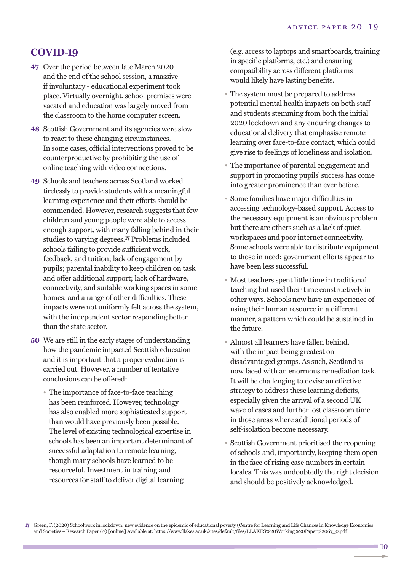#### **COVID-19**

- **47** Over the period between late March 2020 and the end of the school session, a massive – if involuntary - educational experiment took place. Virtually overnight, school premises were vacated and education was largely moved from the classroom to the home computer screen.
- **48** Scottish Government and its agencies were slow to react to these changing circumstances. In some cases, official interventions proved to be counterproductive by prohibiting the use of online teaching with video connections.
- **49** Schools and teachers across Scotland worked tirelessly to provide students with a meaningful learning experience and their efforts should be commended. However, research suggests that few children and young people were able to access enough support, with many falling behind in their studies to varying degrees. **17** Problems included schools failing to provide sufficient work, feedback, and tuition; lack of engagement by pupils; parental inability to keep children on task and offer additional support; lack of hardware, connectivity, and suitable working spaces in some homes; and a range of other difficulties. These impacts were not uniformly felt across the system, with the independent sector responding better than the state sector.
- **50** We are still in the early stages of understanding how the pandemic impacted Scottish education and it is important that a proper evaluation is carried out. However, a number of tentative conclusions can be offered:
	- The importance of face-to-face teaching has been reinforced. However, technology has also enabled more sophisticated support than would have previously been possible. The level of existing technological expertise in schools has been an important determinant of successful adaptation to remote learning, though many schools have learned to be resourceful. Investment in training and resources for staff to deliver digital learning

(e.g. access to laptops and smartboards, training in specific platforms, etc.) and ensuring compatibility across different platforms would likely have lasting benefits.

- The system must be prepared to address potential mental health impacts on both staff and students stemming from both the initial 2020 lockdown and any enduring changes to educational delivery that emphasise remote learning over face-to-face contact, which could give rise to feelings of loneliness and isolation.
- The importance of parental engagement and support in promoting pupils' success has come into greater prominence than ever before.
- Some families have major difficulties in accessing technology-based support. Access to the necessary equipment is an obvious problem but there are others such as a lack of quiet workspaces and poor internet connectivity. Some schools were able to distribute equipment to those in need; government efforts appear to have been less successful.
- Most teachers spent little time in traditional teaching but used their time constructively in other ways. Schools now have an experience of using their human resource in a different manner, a pattern which could be sustained in the future.
- Almost all learners have fallen behind, with the impact being greatest on disadvantaged groups. As such, Scotland is now faced with an enormous remediation task. It will be challenging to devise an effective strategy to address these learning deficits, especially given the arrival of a second UK wave of cases and further lost classroom time in those areas where additional periods of self-isolation become necessary.
- Scottish Government prioritised the reopening of schools and, importantly, keeping them open in the face of rising case numbers in certain locales. This was undoubtedly the right decision and should be positively acknowledged.

**17** Green, F.(2020) Schoolwork in lockdown: new evidence on the epidemic of educational poverty (Centre for Learning and Life Chances in Knowledge Economies and Societies – Research Paper 67) [online] Available at: https://www.llakes.ac.uk/sites/default/files/LLAKES%20Working%20Paper%2067\_0.pdf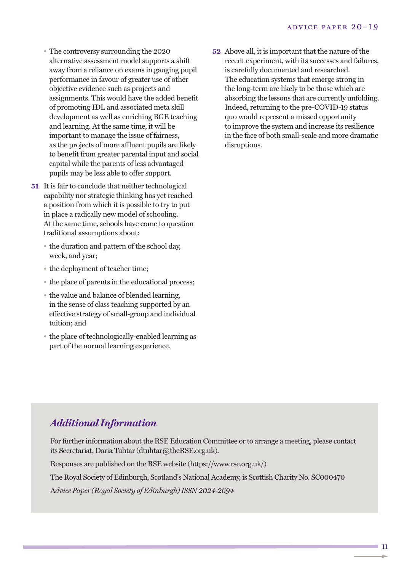- The controversy surrounding the 2020 alternative assessment model supports a shift away from a reliance on exams in gauging pupil performance in favour of greater use of other objective evidence such as projects and assignments. This would have the added benefit of promoting IDL and associated meta skill development as well as enriching BGE teaching and learning. At the same time, it will be important to manage the issue of fairness, as the projects of more affluent pupils are likely to benefit from greater parental input and social capital while the parents of less advantaged pupils may be less able to offer support.
- **51** It is fair to conclude that neither technological capability nor strategic thinking has yet reached a position from which it is possible to try to put in place a radically new model of schooling. At the same time, schools have come to question traditional assumptions about:
	- the duration and pattern of the school day, week, and year;
	- the deployment of teacher time;
	- the place of parents in the educational process;
	- the value and balance of blended learning, in the sense of class teaching supported by an effective strategy of small-group and individual tuition; and
	- the place of technologically-enabled learning as part of the normal learning experience.

**52** Above all, it is important that the nature of the recent experiment, with its successes and failures, is carefully documented and researched. The education systems that emerge strong in the long-term are likely to be those which are absorbing the lessons that are currently unfolding. Indeed, returning to the pre-COVID-19 status quo would represent a missed opportunity to improve the system and increase its resilience in the face of both small-scale and more dramatic disruptions.

# *Additional Information*

For further information about the RSE Education Committee or to arrange a meeting, please contact its Secretariat, Daria Tuhtar (dtuhtar@theRSE.org.uk).

Responses are published on the RSE website (https://www.rse.org.uk/)

The Royal Society of Edinburgh, Scotland's National Academy, is Scottish Charity No. SC000470

A*dvice Paper (Royal Society of Edinburgh)ISSN 2024-2694*